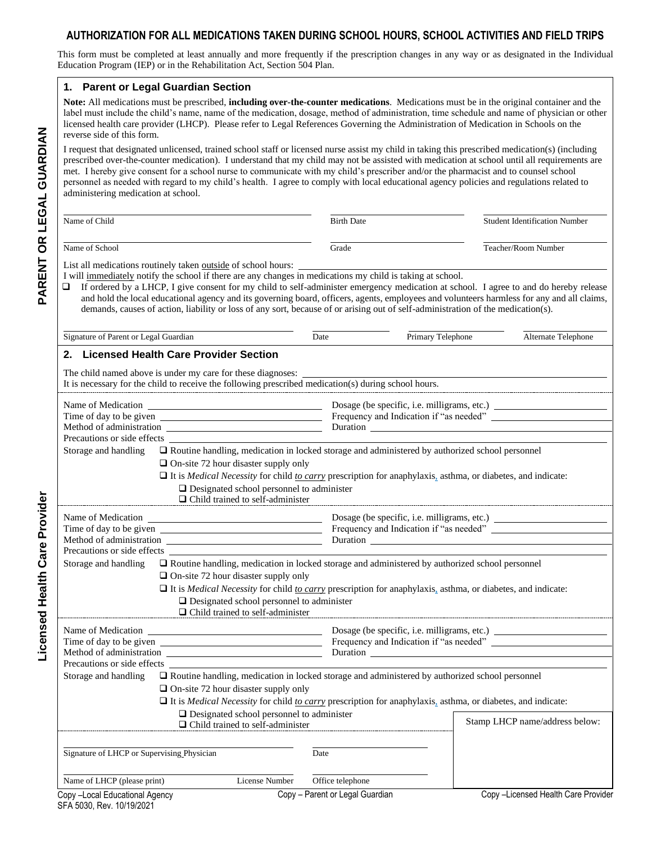# **AUTHORIZATION FOR ALL MEDICATIONS TAKEN DURING SCHOOL HOURS, SCHOOL ACTIVITIES AND FIELD TRIPS**

This form must be completed at least annually and more frequently if the prescription changes in any way or as designated in the Individual Education Program (IEP) or in the Rehabilitation Act, Section 504 Plan.

#### **1. Parent or Legal Guardian Section**

**Note:** All medications must be prescribed, **including over-the-counter medications**. Medications must be in the original container and the label must include the child's name, name of the medication, dosage, method of administration, time schedule and name of physician or other licensed health care provider (LHCP). Please refer to Legal References Governing the Administration of Medication in Schools on the reverse side of this form.

I request that designated unlicensed, trained school staff or licensed nurse assist my child in taking this prescribed medication(s) (including prescribed over-the-counter medication). I understand that my child may not be assisted with medication at school until all requirements are met. I hereby give consent for a school nurse to communicate with my child's prescriber and/or the pharmacist and to counsel school personnel as needed with regard to my child's health. I agree to comply with local educational agency policies and regulations related to administering medication at school.

| Name of Child                                                                                                                                                                                                                                                                                                                                                                                                                                                                                                                                                                                          |                                         | <b>Birth Date</b>               |                                             | <b>Student Identification Number</b> |  |
|--------------------------------------------------------------------------------------------------------------------------------------------------------------------------------------------------------------------------------------------------------------------------------------------------------------------------------------------------------------------------------------------------------------------------------------------------------------------------------------------------------------------------------------------------------------------------------------------------------|-----------------------------------------|---------------------------------|---------------------------------------------|--------------------------------------|--|
| Name of School                                                                                                                                                                                                                                                                                                                                                                                                                                                                                                                                                                                         |                                         | Grade                           |                                             | Teacher/Room Number                  |  |
| List all medications routinely taken outside of school hours:<br>I will immediately notify the school if there are any changes in medications my child is taking at school.<br>If ordered by a LHCP, I give consent for my child to self-administer emergency medication at school. I agree to and do hereby release<br>and hold the local educational agency and its governing board, officers, agents, employees and volunteers harmless for any and all claims,<br>demands, causes of action, liability or loss of any sort, because of or arising out of self-administration of the medication(s). |                                         |                                 |                                             |                                      |  |
| Signature of Parent or Legal Guardian                                                                                                                                                                                                                                                                                                                                                                                                                                                                                                                                                                  |                                         | Date                            | Primary Telephone                           | Alternate Telephone                  |  |
| 2. Licensed Health Care Provider Section<br>The child named above is under my care for these diagnoses:<br>It is necessary for the child to receive the following prescribed medication(s) during school hours.                                                                                                                                                                                                                                                                                                                                                                                        |                                         |                                 |                                             |                                      |  |
|                                                                                                                                                                                                                                                                                                                                                                                                                                                                                                                                                                                                        |                                         |                                 |                                             |                                      |  |
| Precautions or side effects<br>□ Routine handling, medication in locked storage and administered by authorized school personnel<br>Storage and handling<br>$\Box$ On-site 72 hour disaster supply only<br>$\Box$ It is <i>Medical Necessity</i> for child <i>to carry</i> prescription for anaphylaxis, asthma, or diabetes, and indicate:<br>$\Box$ Designated school personnel to administer<br><u>D</u> Child trained to self-administer                                                                                                                                                            |                                         |                                 |                                             |                                      |  |
| Time of day to be given<br>Precautions or side effects                                                                                                                                                                                                                                                                                                                                                                                                                                                                                                                                                 |                                         |                                 |                                             |                                      |  |
| □ Routine handling, medication in locked storage and administered by authorized school personnel<br>Storage and handling<br>$\Box$ On-site 72 hour disaster supply only<br>$\Box$ It is <i>Medical Necessity</i> for child <u>to carry</u> prescription for anaphylaxis, asthma, or diabetes, and indicate:<br>$\Box$ Designated school personnel to administer<br>$\Box$ Child trained to self-administer                                                                                                                                                                                             |                                         |                                 |                                             |                                      |  |
| Time of day to be given                                                                                                                                                                                                                                                                                                                                                                                                                                                                                                                                                                                |                                         |                                 | Dosage (be specific, i.e. milligrams, etc.) |                                      |  |
| Precautions or side effects<br>□ Routine handling, medication in locked storage and administered by authorized school personnel<br>Storage and handling<br>$\Box$ On-site 72 hour disaster supply only<br>$\Box$ It is <i>Medical Necessity</i> for child <i>to carry</i> prescription for anaphylaxis, asthma, or diabetes, and indicate:<br>$\Box$ Designated school personnel to administer                                                                                                                                                                                                         |                                         |                                 |                                             |                                      |  |
|                                                                                                                                                                                                                                                                                                                                                                                                                                                                                                                                                                                                        | $\Box$ Child trained to self-administer |                                 |                                             | Stamp LHCP name/address below:       |  |
| Signature of LHCP or Supervising Physician<br>Name of LHCP (please print)                                                                                                                                                                                                                                                                                                                                                                                                                                                                                                                              | <b>License Number</b>                   | Date<br>Office telephone        |                                             |                                      |  |
| Copy -Local Educational Agency                                                                                                                                                                                                                                                                                                                                                                                                                                                                                                                                                                         |                                         | Copy - Parent or Legal Guardian |                                             | Copy-Licensed Health Care Provider   |  |

**Licensed Health Care Provider**

Licensed Health Care Provider